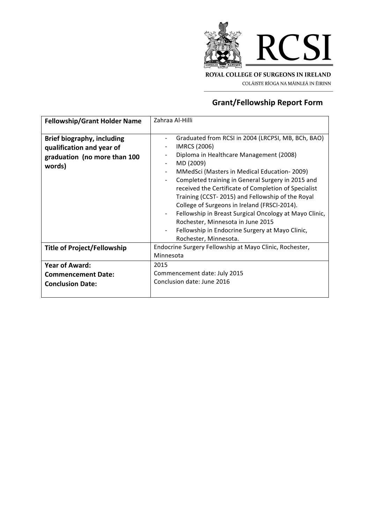

COLÁISTE RÍOGA NA MÁINLEÁ IN ÉIRINN

# **Grant/Fellowship Report Form**

| <b>Fellowship/Grant Holder Name</b>                                                               | Zahraa Al-Hilli                                                                                                                                                                                                                                                                                                                                                                                                                                                                                                                                                                                   |
|---------------------------------------------------------------------------------------------------|---------------------------------------------------------------------------------------------------------------------------------------------------------------------------------------------------------------------------------------------------------------------------------------------------------------------------------------------------------------------------------------------------------------------------------------------------------------------------------------------------------------------------------------------------------------------------------------------------|
| Brief biography, including<br>qualification and year of<br>graduation (no more than 100<br>words) | Graduated from RCSI in 2004 (LRCPSI, MB, BCh, BAO)<br>IMRCS (2006)<br>Diploma in Healthcare Management (2008)<br>MD (2009)<br>MMedSci (Masters in Medical Education-2009)<br>Completed training in General Surgery in 2015 and<br>received the Certificate of Completion of Specialist<br>Training (CCST-2015) and Fellowship of the Royal<br>College of Surgeons in Ireland (FRSCI-2014).<br>Fellowship in Breast Surgical Oncology at Mayo Clinic,<br>$\overline{\phantom{a}}$<br>Rochester, Minnesota in June 2015<br>Fellowship in Endocrine Surgery at Mayo Clinic,<br>Rochester, Minnesota. |
| <b>Title of Project/Fellowship</b>                                                                | Endocrine Surgery Fellowship at Mayo Clinic, Rochester,<br>Minnesota                                                                                                                                                                                                                                                                                                                                                                                                                                                                                                                              |
| <b>Year of Award:</b><br><b>Commencement Date:</b><br><b>Conclusion Date:</b>                     | 2015<br>Commencement date: July 2015<br>Conclusion date: June 2016                                                                                                                                                                                                                                                                                                                                                                                                                                                                                                                                |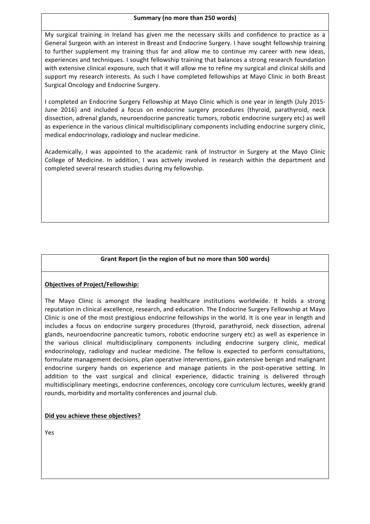#### **Summary (no more than 250 words)**

My surgical training in Ireland has given me the necessary skills and confidence to practice as a General Surgeon with an interest in Breast and Endocrine Surgery. I have sought fellowship training to further supplement my training thus far and allow me to continue my career with new ideas, experiences and techniques. I sought fellowship training that balances a strong research foundation with extensive clinical exposure, such that it will allow me to refine my surgical and clinical skills and support my research interests. As such I have completed fellowships at Mayo Clinic in both Breast Surgical Oncology and Endocrine Surgery.

I completed an Endocrine Surgery Fellowship at Mayo Clinic which is one year in length (July 2015-June 2016) and included a focus on endocrine surgery procedures (thyroid, parathyroid, neck dissection, adrenal glands, neuroendocrine pancreatic tumors, robotic endocrine surgery etc) as well as experience in the various clinical multidisciplinary components including endocrine surgery clinic, medical endocrinology, radiology and nuclear medicine.

Academically, I was appointed to the academic rank of Instructor in Surgery at the Mayo Clinic College of Medicine. In addition, I was actively involved in research within the department and completed several research studies during my fellowship.

# **Grant Report (in the region of but no more than 500 words)**

## **Objectives of Project/Fellowship:**

The Mayo Clinic is amongst the leading healthcare institutions worldwide. It holds a strong reputation in clinical excellence, research, and education. The Endocrine Surgery Fellowship at Mayo Clinic is one of the most prestigious endocrine fellowships in the world. It is one year in length and includes a focus on endocrine surgery procedures (thyroid, parathyroid, neck dissection, adrenal glands, neuroendocrine pancreatic tumors, robotic endocrine surgery etc) as well as experience in the various clinical multidisciplinary components including endocrine surgery clinic, medical endocrinology, radiology and nuclear medicine. The fellow is expected to perform consultations, formulate management decisions, plan operative interventions, gain extensive benign and malignant endocrine surgery hands on experience and manage patients in the post-operative setting. In addition to the vast surgical and clinical experience, didactic training is delivered through multidisciplinary meetings, endocrine conferences, oncology core curriculum lectures, weekly grand rounds, morbidity and mortality conferences and journal club.

## **Did you achieve these objectives?**

Yes